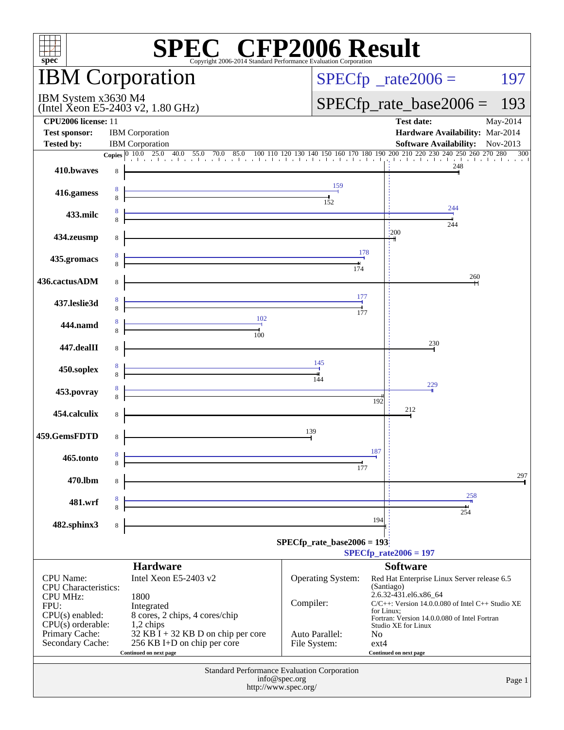| spec <sup>®</sup>                                                |   | <b>SPEC<sup>®</sup> CFP2006 Result</b><br>Copyright 2006-2014 Standard Performance Evaluation Corporation                                                                                                         |               |                               |            |                                                                                         |          |  |  |
|------------------------------------------------------------------|---|-------------------------------------------------------------------------------------------------------------------------------------------------------------------------------------------------------------------|---------------|-------------------------------|------------|-----------------------------------------------------------------------------------------|----------|--|--|
| <b>IBM</b> Corporation                                           |   |                                                                                                                                                                                                                   |               | $SPECfp^*$ _rate2006 =<br>197 |            |                                                                                         |          |  |  |
| IBM System x3630 M4<br>(Intel Xeon E5-2403 v2, $1.80$ GHz)       |   |                                                                                                                                                                                                                   |               |                               |            | $SPECfp\_rate\_base2006 =$                                                              | 193      |  |  |
| CPU2006 license: 11<br><b>Test sponsor:</b><br><b>Tested by:</b> |   | <b>IBM</b> Corporation<br><b>IBM</b> Corporation                                                                                                                                                                  |               |                               |            | <b>Test date:</b><br>Hardware Availability: Mar-2014<br>Software Availability: Nov-2013 | May-2014 |  |  |
|                                                                  |   | <b>Copies</b> $\begin{bmatrix} 0 & 10.0 & 25.0 & 40.0 & 55.0 & 70.0 & 85.0 & 100 & 110 & 120 & 130 & 140 & 150 & 160 & 170 & 180 & 190 & 200 & 210 & 220 & 230 & 240 & 250 & 260 & 270 & 280 & 300 \end{bmatrix}$ |               |                               |            |                                                                                         |          |  |  |
| 410.bwaves                                                       | 8 |                                                                                                                                                                                                                   |               |                               |            | 248                                                                                     |          |  |  |
| 416.gamess                                                       |   |                                                                                                                                                                                                                   |               | 152                           |            |                                                                                         |          |  |  |
| 433.milc                                                         |   | <u> 1989 - Johann Stein, marwolaethau a bh</u>                                                                                                                                                                    |               |                               |            | 244<br>244                                                                              |          |  |  |
| 434.zeusmp                                                       |   | <u> 1980 - Johann Barbara, martxa alemaniar a</u>                                                                                                                                                                 |               |                               | 1200       |                                                                                         |          |  |  |
| 435.gromacs                                                      |   |                                                                                                                                                                                                                   |               | 178<br>174                    |            |                                                                                         |          |  |  |
| 436.cactusADM                                                    |   | <u> 1980 - Johann Barn, mars an t-Amerikaansk politiker (</u>                                                                                                                                                     |               |                               |            | 260                                                                                     |          |  |  |
| 437.leslie3d                                                     |   |                                                                                                                                                                                                                   |               | 177<br>177                    |            |                                                                                         |          |  |  |
| 444.namd                                                         |   | $\frac{102}{1}$<br>100                                                                                                                                                                                            |               |                               |            |                                                                                         |          |  |  |
| 447.dealII                                                       |   |                                                                                                                                                                                                                   |               |                               |            | 230                                                                                     |          |  |  |
| 450.soplex                                                       |   |                                                                                                                                                                                                                   |               | 145                           |            |                                                                                         |          |  |  |
| 453.povray                                                       |   | <u> 1980 - Andrea Stadt Britain, amerikan berlandar (</u>                                                                                                                                                         |               |                               | 192        | 229                                                                                     |          |  |  |
| 454.calculix                                                     | 8 |                                                                                                                                                                                                                   |               |                               |            | 212                                                                                     |          |  |  |
| 459.GemsFDTD                                                     | 8 |                                                                                                                                                                                                                   | 139           |                               |            |                                                                                         |          |  |  |
| 465.tonto                                                        |   |                                                                                                                                                                                                                   |               | 177                           | 187        |                                                                                         |          |  |  |
| 470.lbm                                                          | 8 |                                                                                                                                                                                                                   |               |                               |            | 258                                                                                     | 297      |  |  |
| 481.wrf                                                          |   | <u> 1989 - Johann Stein, marwolaethau a bh</u>                                                                                                                                                                    |               |                               |            | 254                                                                                     |          |  |  |
| 482.sphinx3                                                      | 8 |                                                                                                                                                                                                                   |               |                               | 194        |                                                                                         |          |  |  |
|                                                                  |   |                                                                                                                                                                                                                   |               | $SPECfp_rate\_base2006 = 193$ |            | $SPECfp_{rate}2006 = 197$                                                               |          |  |  |
|                                                                  |   | <b>Hardware</b>                                                                                                                                                                                                   |               |                               |            | <b>Software</b>                                                                         |          |  |  |
| <b>CPU</b> Name:<br><b>CPU</b> Characteristics:                  |   | Intel Xeon E5-2403 v2                                                                                                                                                                                             |               | <b>Operating System:</b>      | (Santiago) | Red Hat Enterprise Linux Server release 6.5                                             |          |  |  |
| <b>CPU MHz:</b><br>FPU:                                          |   | 1800<br>Integrated                                                                                                                                                                                                | Compiler:     |                               |            | 2.6.32-431.el6.x86_64<br>$C/C++$ : Version 14.0.0.080 of Intel $C++$ Studio XE          |          |  |  |
| $CPU(s)$ enabled:                                                |   | 8 cores, 2 chips, 4 cores/chip                                                                                                                                                                                    |               |                               | for Linux: | Fortran: Version 14.0.0.080 of Intel Fortran                                            |          |  |  |
| $CPU(s)$ orderable:<br>Primary Cache:                            |   | 1,2 chips<br>$32$ KB $\overline{1}$ + 32 KB D on chip per core                                                                                                                                                    |               | Auto Parallel:                | No         | Studio XE for Linux                                                                     |          |  |  |
| Secondary Cache:                                                 |   | 256 KB I+D on chip per core<br>Continued on next page                                                                                                                                                             |               | File System:                  | $ext{4}$   | Continued on next page                                                                  |          |  |  |
| <b>Standard Performance Evaluation Corporation</b>               |   |                                                                                                                                                                                                                   |               |                               |            |                                                                                         |          |  |  |
|                                                                  |   | http://www.spec.org/                                                                                                                                                                                              | info@spec.org |                               |            |                                                                                         | Page 1   |  |  |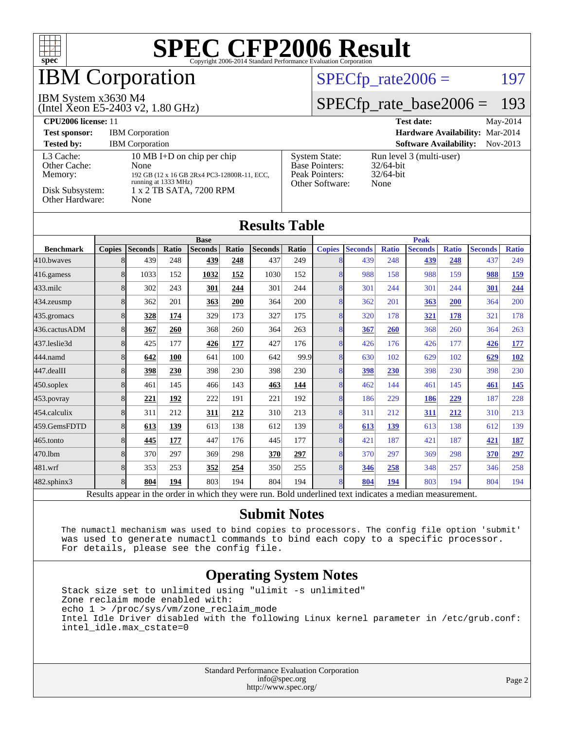

## **BM Corporation**

#### IBM System x3630 M4

(Intel Xeon E5-2403 v2, 1.80 GHz)

#### $SPECTp_rate2006 = 197$

#### [SPECfp\\_rate\\_base2006 =](http://www.spec.org/auto/cpu2006/Docs/result-fields.html#SPECfpratebase2006) 193

| CPU <sub>2006</sub> license: 11                                            |                                                                                                                                              |                                                                                    | <b>Test date:</b><br>May-2014                                    |
|----------------------------------------------------------------------------|----------------------------------------------------------------------------------------------------------------------------------------------|------------------------------------------------------------------------------------|------------------------------------------------------------------|
| <b>Test sponsor:</b>                                                       | <b>IBM</b> Corporation                                                                                                                       | Hardware Availability: Mar-2014                                                    |                                                                  |
| <b>Tested by:</b>                                                          | <b>IBM</b> Corporation                                                                                                                       |                                                                                    | <b>Software Availability:</b><br>Nov-2013                        |
| L3 Cache:<br>Other Cache:<br>Memory:<br>Disk Subsystem:<br>Other Hardware: | 10 MB I+D on chip per chip<br>None<br>192 GB (12 x 16 GB 2Rx4 PC3-12800R-11, ECC,<br>running at 1333 MHz)<br>1 x 2 TB SATA, 7200 RPM<br>None | <b>System State:</b><br><b>Base Pointers:</b><br>Peak Pointers:<br>Other Software: | Run level 3 (multi-user)<br>$32/64$ -bit<br>$32/64$ -bit<br>None |

| <b>Results Table</b> |               |                |       |                |       |                |       |               |                |              |                |              |                |              |  |
|----------------------|---------------|----------------|-------|----------------|-------|----------------|-------|---------------|----------------|--------------|----------------|--------------|----------------|--------------|--|
|                      | <b>Base</b>   |                |       |                |       |                |       |               | <b>Peak</b>    |              |                |              |                |              |  |
| <b>Benchmark</b>     | <b>Copies</b> | <b>Seconds</b> | Ratio | <b>Seconds</b> | Ratio | <b>Seconds</b> | Ratio | <b>Copies</b> | <b>Seconds</b> | <b>Ratio</b> | <b>Seconds</b> | <b>Ratio</b> | <b>Seconds</b> | <b>Ratio</b> |  |
| 410.bwayes           | 8             | 439            | 248   | 439            | 248   | 437            | 249   | 8             | 439            | 248          | 439            | 248          | 437            | 249          |  |
| 416.gamess           | 8             | 1033           | 152   | 1032           | 152   | 1030           | 152   | 8             | 988            | 158          | 988            | 159          | 988            | <u>159</u>   |  |
| $433$ .milc          | 8             | 302            | 243   | 301            | 244   | 301            | 244   | 8             | 301            | 244          | 301            | 244          | <b>301</b>     | 244          |  |
| $434$ . zeusmp       | 8             | 362            | 201   | 363            | 200   | 364            | 200   | 8             | 362            | 201          | <u>363</u>     | 200          | 364            | 200          |  |
| 435.gromacs          | 8             | 328            | 174   | 329            | 173   | 327            | 175   | 8             | 320            | 178          | <u>321</u>     | 178          | 321            | 178          |  |
| 436.cactusADM        | 8             | 367            | 260   | 368            | 260   | 364            | 263   | 8             | 367            | 260          | 368            | 260          | 364            | 263          |  |
| 437.leslie3d         | 8             | 425            | 177   | 426            | 177   | 427            | 176   | 8             | 426            | 176          | 426            | 177          | 426            | <b>177</b>   |  |
| 444.namd             | 8             | 642            | 100   | 641            | 100   | 642            | 99.9  | 8             | 630            | 102          | 629            | 102          | 629            | 102          |  |
| $447$ .dealII        | 8             | 398            | 230   | 398            | 230   | 398            | 230   | 8             | 398            | 230          | 398            | 230          | 398            | 230          |  |
| $450$ .soplex        | 8             | 461            | 145   | 466            | 143   | 463            | 144   | 8             | 462            | 144          | 461            | 145          | <b>461</b>     | <b>145</b>   |  |
| 453.povray           | 8             | 221            | 192   | 222            | 191   | 221            | 192   | 8             | 186            | 229          | 186            | 229          | 187            | 228          |  |
| 454.calculix         | 8             | 311            | 212   | 311            | 212   | 310            | 213   | 8             | 311            | 212          | <u>311</u>     | 212          | 310            | 213          |  |
| 459.GemsFDTD         | 8             | 613            | 139   | 613            | 138   | 612            | 139   | 8             | 613            | 139          | 613            | 138          | 612            | 139          |  |
| 465.tonto            | 8             | 445            | 177   | 447            | 176   | 445            | 177   | 8             | 421            | 187          | 421            | 187          | 421            | <u>187</u>   |  |
| 470.1bm              | 8             | 370            | 297   | 369            | 298   | 370            | 297   | 8             | 370            | 297          | 369            | 298          | 370            | 297          |  |
| 481.wrf              | 8             | 353            | 253   | 352            | 254   | 350            | 255   | 8             | 346            | 258          | 348            | 257          | 346            | 258          |  |
| $482$ .sphinx $3$    | 8             | 804            | 194   | 803            | 194   | 804            | 194   | 8             | 804            | 194          | 803            | 194          | 804            | 194          |  |

Results appear in the [order in which they were run.](http://www.spec.org/auto/cpu2006/Docs/result-fields.html#RunOrder) Bold underlined text [indicates a median measurement.](http://www.spec.org/auto/cpu2006/Docs/result-fields.html#Median)

#### **[Submit Notes](http://www.spec.org/auto/cpu2006/Docs/result-fields.html#SubmitNotes)**

 The numactl mechanism was used to bind copies to processors. The config file option 'submit' was used to generate numactl commands to bind each copy to a specific processor. For details, please see the config file.

#### **[Operating System Notes](http://www.spec.org/auto/cpu2006/Docs/result-fields.html#OperatingSystemNotes)**

 Stack size set to unlimited using "ulimit -s unlimited" Zone reclaim mode enabled with: echo 1 > /proc/sys/vm/zone\_reclaim\_mode Intel Idle Driver disabled with the following Linux kernel parameter in /etc/grub.conf: intel\_idle.max\_cstate=0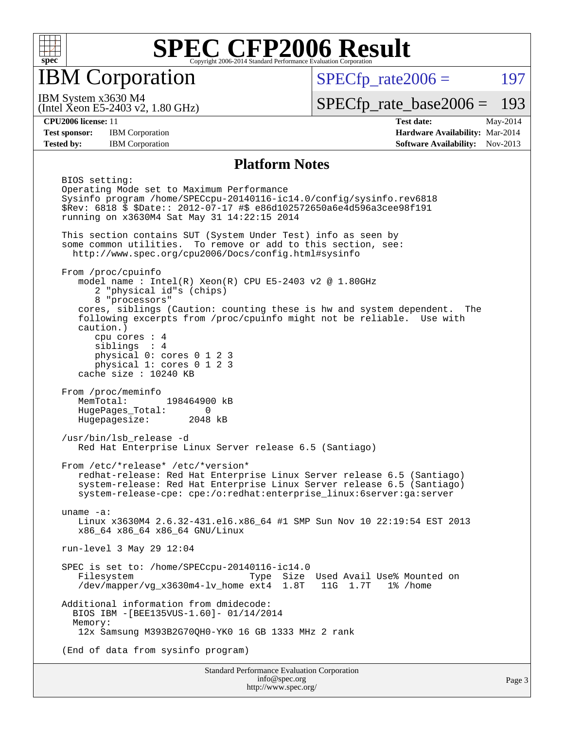

IBM Corporation

 $SPECTp\_rate2006 = 197$ 

(Intel Xeon E5-2403 v2, 1.80 GHz) IBM System x3630 M4

[SPECfp\\_rate\\_base2006 =](http://www.spec.org/auto/cpu2006/Docs/result-fields.html#SPECfpratebase2006) 193

**[CPU2006 license:](http://www.spec.org/auto/cpu2006/Docs/result-fields.html#CPU2006license)** 11 **[Test date:](http://www.spec.org/auto/cpu2006/Docs/result-fields.html#Testdate)** May-2014 **[Test sponsor:](http://www.spec.org/auto/cpu2006/Docs/result-fields.html#Testsponsor)** IBM Corporation **[Hardware Availability:](http://www.spec.org/auto/cpu2006/Docs/result-fields.html#HardwareAvailability)** Mar-2014 **[Tested by:](http://www.spec.org/auto/cpu2006/Docs/result-fields.html#Testedby)** IBM Corporation **[Software Availability:](http://www.spec.org/auto/cpu2006/Docs/result-fields.html#SoftwareAvailability)** Nov-2013

#### **[Platform Notes](http://www.spec.org/auto/cpu2006/Docs/result-fields.html#PlatformNotes)**

 BIOS setting: Operating Mode set to Maximum Performance Sysinfo program /home/SPECcpu-20140116-ic14.0/config/sysinfo.rev6818 \$Rev: 6818 \$ \$Date:: 2012-07-17 #\$ e86d102572650a6e4d596a3cee98f191 running on x3630M4 Sat May 31 14:22:15 2014 This section contains SUT (System Under Test) info as seen by some common utilities. To remove or add to this section, see: <http://www.spec.org/cpu2006/Docs/config.html#sysinfo> From /proc/cpuinfo model name : Intel $(R)$  Xeon $(R)$  CPU E5-2403 v2 @ 1.80GHz 2 "physical id"s (chips) 8 "processors" cores, siblings (Caution: counting these is hw and system dependent. The following excerpts from /proc/cpuinfo might not be reliable. Use with caution.) cpu cores : 4 siblings : 4 physical 0: cores 0 1 2 3 physical 1: cores 0 1 2 3 cache size : 10240 KB From /proc/meminfo MemTotal: 198464900 kB HugePages\_Total: 0 Hugepagesize: 2048 kB /usr/bin/lsb\_release -d Red Hat Enterprise Linux Server release 6.5 (Santiago) From /etc/\*release\* /etc/\*version\* redhat-release: Red Hat Enterprise Linux Server release 6.5 (Santiago) system-release: Red Hat Enterprise Linux Server release 6.5 (Santiago) system-release-cpe: cpe:/o:redhat:enterprise\_linux:6server:ga:server uname -a: Linux x3630M4 2.6.32-431.el6.x86\_64 #1 SMP Sun Nov 10 22:19:54 EST 2013 x86\_64 x86\_64 x86\_64 GNU/Linux run-level 3 May 29 12:04 SPEC is set to: /home/SPECcpu-20140116-ic14.0 Type Size Used Avail Use% Mounted on /dev/mapper/vg\_x3630m4-lv\_home ext4 1.8T 11G 1.7T 1% /home Additional information from dmidecode: BIOS IBM -[BEE135VUS-1.60]- 01/14/2014 Memory: 12x Samsung M393B2G70QH0-YK0 16 GB 1333 MHz 2 rank (End of data from sysinfo program)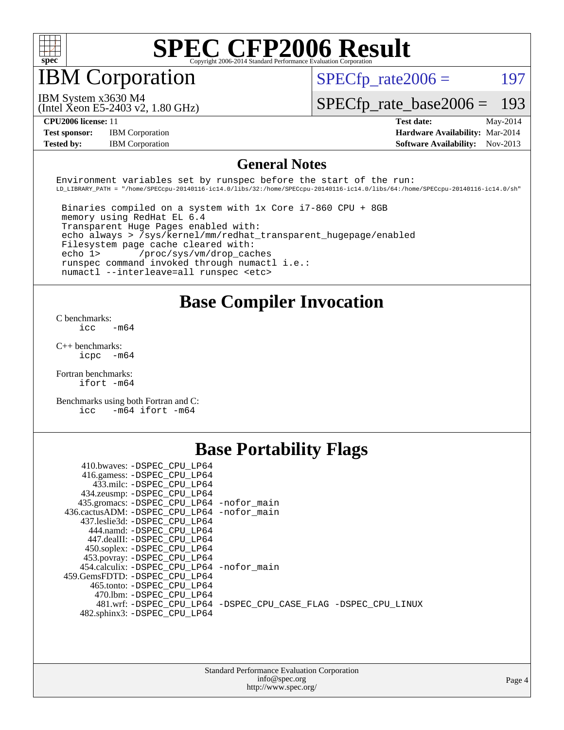

## IBM Corporation

 $SPECTp\_rate2006 = 197$ 

IBM System x3630 M4

[SPECfp\\_rate\\_base2006 =](http://www.spec.org/auto/cpu2006/Docs/result-fields.html#SPECfpratebase2006) 193

(Intel Xeon E5-2403 v2, 1.80 GHz)

**[Test sponsor:](http://www.spec.org/auto/cpu2006/Docs/result-fields.html#Testsponsor)** IBM Corporation **[Hardware Availability:](http://www.spec.org/auto/cpu2006/Docs/result-fields.html#HardwareAvailability)** Mar-2014

**[CPU2006 license:](http://www.spec.org/auto/cpu2006/Docs/result-fields.html#CPU2006license)** 11 **[Test date:](http://www.spec.org/auto/cpu2006/Docs/result-fields.html#Testdate)** May-2014 **[Tested by:](http://www.spec.org/auto/cpu2006/Docs/result-fields.html#Testedby)** IBM Corporation **[Software Availability:](http://www.spec.org/auto/cpu2006/Docs/result-fields.html#SoftwareAvailability)** Nov-2013

#### **[General Notes](http://www.spec.org/auto/cpu2006/Docs/result-fields.html#GeneralNotes)**

Environment variables set by runspec before the start of the run: LD\_LIBRARY\_PATH = "/home/SPECcpu-20140116-ic14.0/libs/32:/home/SPECcpu-20140116-ic14.0/libs/64:/home/SPECcpu-20140116-ic14.0/sh"

 Binaries compiled on a system with 1x Core i7-860 CPU + 8GB memory using RedHat EL 6.4 Transparent Huge Pages enabled with: echo always > /sys/kernel/mm/redhat\_transparent\_hugepage/enabled Filesystem page cache cleared with: echo 1> /proc/sys/vm/drop\_caches runspec command invoked through numactl i.e.: numactl --interleave=all runspec <etc>

#### **[Base Compiler Invocation](http://www.spec.org/auto/cpu2006/Docs/result-fields.html#BaseCompilerInvocation)**

[C benchmarks](http://www.spec.org/auto/cpu2006/Docs/result-fields.html#Cbenchmarks):  $\text{icc}$   $-\text{m64}$ 

[C++ benchmarks:](http://www.spec.org/auto/cpu2006/Docs/result-fields.html#CXXbenchmarks) [icpc -m64](http://www.spec.org/cpu2006/results/res2014q3/cpu2006-20140604-29811.flags.html#user_CXXbase_intel_icpc_64bit_bedb90c1146cab66620883ef4f41a67e)

[Fortran benchmarks](http://www.spec.org/auto/cpu2006/Docs/result-fields.html#Fortranbenchmarks): [ifort -m64](http://www.spec.org/cpu2006/results/res2014q3/cpu2006-20140604-29811.flags.html#user_FCbase_intel_ifort_64bit_ee9d0fb25645d0210d97eb0527dcc06e)

[Benchmarks using both Fortran and C](http://www.spec.org/auto/cpu2006/Docs/result-fields.html#BenchmarksusingbothFortranandC): [icc -m64](http://www.spec.org/cpu2006/results/res2014q3/cpu2006-20140604-29811.flags.html#user_CC_FCbase_intel_icc_64bit_0b7121f5ab7cfabee23d88897260401c) [ifort -m64](http://www.spec.org/cpu2006/results/res2014q3/cpu2006-20140604-29811.flags.html#user_CC_FCbase_intel_ifort_64bit_ee9d0fb25645d0210d97eb0527dcc06e)

## **[Base Portability Flags](http://www.spec.org/auto/cpu2006/Docs/result-fields.html#BasePortabilityFlags)**

| 410.bwaves: -DSPEC CPU LP64                 |                                                                |
|---------------------------------------------|----------------------------------------------------------------|
| 416.gamess: -DSPEC_CPU_LP64                 |                                                                |
| 433.milc: -DSPEC CPU LP64                   |                                                                |
| 434.zeusmp: - DSPEC_CPU_LP64                |                                                                |
| 435.gromacs: -DSPEC_CPU_LP64 -nofor_main    |                                                                |
| 436.cactusADM: -DSPEC CPU LP64 -nofor main  |                                                                |
| 437.leslie3d: -DSPEC CPU LP64               |                                                                |
| 444.namd: -DSPEC CPU LP64                   |                                                                |
| 447.dealII: -DSPEC CPU LP64                 |                                                                |
| 450.soplex: -DSPEC_CPU_LP64                 |                                                                |
| 453.povray: -DSPEC_CPU_LP64                 |                                                                |
| 454.calculix: - DSPEC CPU LP64 - nofor main |                                                                |
| 459.GemsFDTD: -DSPEC CPU LP64               |                                                                |
| 465.tonto: -DSPEC CPU LP64                  |                                                                |
| 470.1bm: - DSPEC CPU LP64                   |                                                                |
|                                             | 481.wrf: -DSPEC CPU_LP64 -DSPEC_CPU_CASE_FLAG -DSPEC_CPU_LINUX |
| 482.sphinx3: -DSPEC CPU LP64                |                                                                |
|                                             |                                                                |

| <b>Standard Performance Evaluation Corporation</b> |
|----------------------------------------------------|
| info@spec.org                                      |
| http://www.spec.org/                               |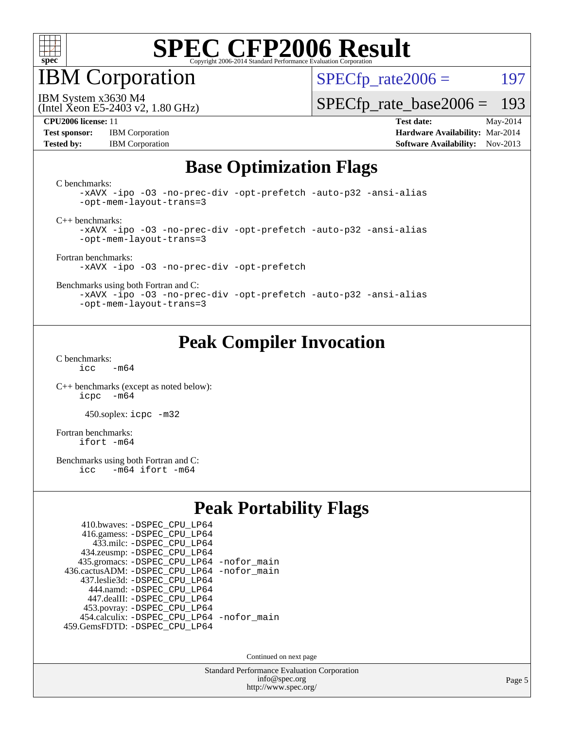

IBM Corporation

(Intel Xeon E5-2403 v2, 1.80 GHz)

 $SPECTp\_rate2006 = 197$ 

IBM System x3630 M4

[SPECfp\\_rate\\_base2006 =](http://www.spec.org/auto/cpu2006/Docs/result-fields.html#SPECfpratebase2006) 193

**[Test sponsor:](http://www.spec.org/auto/cpu2006/Docs/result-fields.html#Testsponsor)** IBM Corporation **[Hardware Availability:](http://www.spec.org/auto/cpu2006/Docs/result-fields.html#HardwareAvailability)** Mar-2014

**[CPU2006 license:](http://www.spec.org/auto/cpu2006/Docs/result-fields.html#CPU2006license)** 11 **[Test date:](http://www.spec.org/auto/cpu2006/Docs/result-fields.html#Testdate)** May-2014 **[Tested by:](http://www.spec.org/auto/cpu2006/Docs/result-fields.html#Testedby)** IBM Corporation **[Software Availability:](http://www.spec.org/auto/cpu2006/Docs/result-fields.html#SoftwareAvailability)** Nov-2013

## **[Base Optimization Flags](http://www.spec.org/auto/cpu2006/Docs/result-fields.html#BaseOptimizationFlags)**

[C benchmarks](http://www.spec.org/auto/cpu2006/Docs/result-fields.html#Cbenchmarks):

[-xAVX](http://www.spec.org/cpu2006/results/res2014q3/cpu2006-20140604-29811.flags.html#user_CCbase_f-xAVX) [-ipo](http://www.spec.org/cpu2006/results/res2014q3/cpu2006-20140604-29811.flags.html#user_CCbase_f-ipo) [-O3](http://www.spec.org/cpu2006/results/res2014q3/cpu2006-20140604-29811.flags.html#user_CCbase_f-O3) [-no-prec-div](http://www.spec.org/cpu2006/results/res2014q3/cpu2006-20140604-29811.flags.html#user_CCbase_f-no-prec-div) [-opt-prefetch](http://www.spec.org/cpu2006/results/res2014q3/cpu2006-20140604-29811.flags.html#user_CCbase_f-opt-prefetch) [-auto-p32](http://www.spec.org/cpu2006/results/res2014q3/cpu2006-20140604-29811.flags.html#user_CCbase_f-auto-p32) [-ansi-alias](http://www.spec.org/cpu2006/results/res2014q3/cpu2006-20140604-29811.flags.html#user_CCbase_f-ansi-alias) [-opt-mem-layout-trans=3](http://www.spec.org/cpu2006/results/res2014q3/cpu2006-20140604-29811.flags.html#user_CCbase_f-opt-mem-layout-trans_a7b82ad4bd7abf52556d4961a2ae94d5)

[C++ benchmarks:](http://www.spec.org/auto/cpu2006/Docs/result-fields.html#CXXbenchmarks)

[-xAVX](http://www.spec.org/cpu2006/results/res2014q3/cpu2006-20140604-29811.flags.html#user_CXXbase_f-xAVX) [-ipo](http://www.spec.org/cpu2006/results/res2014q3/cpu2006-20140604-29811.flags.html#user_CXXbase_f-ipo) [-O3](http://www.spec.org/cpu2006/results/res2014q3/cpu2006-20140604-29811.flags.html#user_CXXbase_f-O3) [-no-prec-div](http://www.spec.org/cpu2006/results/res2014q3/cpu2006-20140604-29811.flags.html#user_CXXbase_f-no-prec-div) [-opt-prefetch](http://www.spec.org/cpu2006/results/res2014q3/cpu2006-20140604-29811.flags.html#user_CXXbase_f-opt-prefetch) [-auto-p32](http://www.spec.org/cpu2006/results/res2014q3/cpu2006-20140604-29811.flags.html#user_CXXbase_f-auto-p32) [-ansi-alias](http://www.spec.org/cpu2006/results/res2014q3/cpu2006-20140604-29811.flags.html#user_CXXbase_f-ansi-alias) [-opt-mem-layout-trans=3](http://www.spec.org/cpu2006/results/res2014q3/cpu2006-20140604-29811.flags.html#user_CXXbase_f-opt-mem-layout-trans_a7b82ad4bd7abf52556d4961a2ae94d5)

[Fortran benchmarks](http://www.spec.org/auto/cpu2006/Docs/result-fields.html#Fortranbenchmarks): [-xAVX](http://www.spec.org/cpu2006/results/res2014q3/cpu2006-20140604-29811.flags.html#user_FCbase_f-xAVX) [-ipo](http://www.spec.org/cpu2006/results/res2014q3/cpu2006-20140604-29811.flags.html#user_FCbase_f-ipo) [-O3](http://www.spec.org/cpu2006/results/res2014q3/cpu2006-20140604-29811.flags.html#user_FCbase_f-O3) [-no-prec-div](http://www.spec.org/cpu2006/results/res2014q3/cpu2006-20140604-29811.flags.html#user_FCbase_f-no-prec-div) [-opt-prefetch](http://www.spec.org/cpu2006/results/res2014q3/cpu2006-20140604-29811.flags.html#user_FCbase_f-opt-prefetch)

[Benchmarks using both Fortran and C](http://www.spec.org/auto/cpu2006/Docs/result-fields.html#BenchmarksusingbothFortranandC):

[-xAVX](http://www.spec.org/cpu2006/results/res2014q3/cpu2006-20140604-29811.flags.html#user_CC_FCbase_f-xAVX) [-ipo](http://www.spec.org/cpu2006/results/res2014q3/cpu2006-20140604-29811.flags.html#user_CC_FCbase_f-ipo) [-O3](http://www.spec.org/cpu2006/results/res2014q3/cpu2006-20140604-29811.flags.html#user_CC_FCbase_f-O3) [-no-prec-div](http://www.spec.org/cpu2006/results/res2014q3/cpu2006-20140604-29811.flags.html#user_CC_FCbase_f-no-prec-div) [-opt-prefetch](http://www.spec.org/cpu2006/results/res2014q3/cpu2006-20140604-29811.flags.html#user_CC_FCbase_f-opt-prefetch) [-auto-p32](http://www.spec.org/cpu2006/results/res2014q3/cpu2006-20140604-29811.flags.html#user_CC_FCbase_f-auto-p32) [-ansi-alias](http://www.spec.org/cpu2006/results/res2014q3/cpu2006-20140604-29811.flags.html#user_CC_FCbase_f-ansi-alias) [-opt-mem-layout-trans=3](http://www.spec.org/cpu2006/results/res2014q3/cpu2006-20140604-29811.flags.html#user_CC_FCbase_f-opt-mem-layout-trans_a7b82ad4bd7abf52556d4961a2ae94d5)

#### **[Peak Compiler Invocation](http://www.spec.org/auto/cpu2006/Docs/result-fields.html#PeakCompilerInvocation)**

[C benchmarks](http://www.spec.org/auto/cpu2006/Docs/result-fields.html#Cbenchmarks):  $icc$   $-m64$ 

[C++ benchmarks \(except as noted below\):](http://www.spec.org/auto/cpu2006/Docs/result-fields.html#CXXbenchmarksexceptasnotedbelow) [icpc -m64](http://www.spec.org/cpu2006/results/res2014q3/cpu2006-20140604-29811.flags.html#user_CXXpeak_intel_icpc_64bit_bedb90c1146cab66620883ef4f41a67e)

450.soplex: [icpc -m32](http://www.spec.org/cpu2006/results/res2014q3/cpu2006-20140604-29811.flags.html#user_peakCXXLD450_soplex_intel_icpc_4e5a5ef1a53fd332b3c49e69c3330699)

[Fortran benchmarks](http://www.spec.org/auto/cpu2006/Docs/result-fields.html#Fortranbenchmarks): [ifort -m64](http://www.spec.org/cpu2006/results/res2014q3/cpu2006-20140604-29811.flags.html#user_FCpeak_intel_ifort_64bit_ee9d0fb25645d0210d97eb0527dcc06e)

[Benchmarks using both Fortran and C](http://www.spec.org/auto/cpu2006/Docs/result-fields.html#BenchmarksusingbothFortranandC):<br>icc -m64 ifort -m64  $-m64$  ifort  $-m64$ 

#### **[Peak Portability Flags](http://www.spec.org/auto/cpu2006/Docs/result-fields.html#PeakPortabilityFlags)**

| 410.bwaves: - DSPEC_CPU_LP64                 |  |
|----------------------------------------------|--|
| 416.gamess: -DSPEC_CPU_LP64                  |  |
| 433.milc: - DSPEC_CPU LP64                   |  |
| 434.zeusmp: -DSPEC_CPU_LP64                  |  |
| 435.gromacs: -DSPEC_CPU_LP64 -nofor_main     |  |
| 436.cactusADM: - DSPEC CPU LP64 - nofor main |  |
| 437.leslie3d: -DSPEC CPU LP64                |  |
| 444.namd: - DSPEC CPU LP64                   |  |
| 447.dealII: -DSPEC CPU LP64                  |  |
| 453.povray: -DSPEC_CPU_LP64                  |  |
| 454.calculix: - DSPEC CPU LP64 - nofor main  |  |
| 459.GemsFDTD: - DSPEC_CPU_LP64               |  |

Continued on next page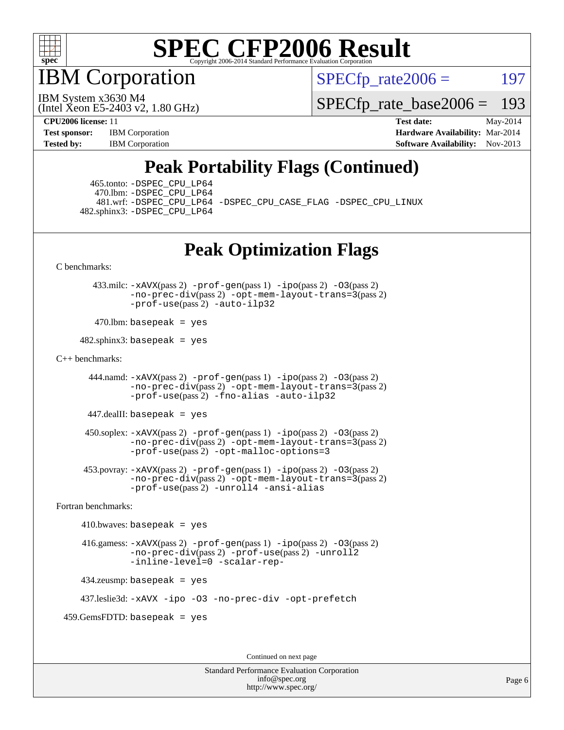

**BM** Corporation

 $SPECTp\_rate2006 = 197$ 

(Intel Xeon E5-2403 v2, 1.80 GHz) IBM System x3630 M4

[SPECfp\\_rate\\_base2006 =](http://www.spec.org/auto/cpu2006/Docs/result-fields.html#SPECfpratebase2006) 193

**[CPU2006 license:](http://www.spec.org/auto/cpu2006/Docs/result-fields.html#CPU2006license)** 11 **[Test date:](http://www.spec.org/auto/cpu2006/Docs/result-fields.html#Testdate)** May-2014 **[Test sponsor:](http://www.spec.org/auto/cpu2006/Docs/result-fields.html#Testsponsor)** IBM Corporation **[Hardware Availability:](http://www.spec.org/auto/cpu2006/Docs/result-fields.html#HardwareAvailability)** Mar-2014 **[Tested by:](http://www.spec.org/auto/cpu2006/Docs/result-fields.html#Testedby)** IBM Corporation **IBM** Corporation **[Software Availability:](http://www.spec.org/auto/cpu2006/Docs/result-fields.html#SoftwareAvailability)** Nov-2013

## **[Peak Portability Flags \(Continued\)](http://www.spec.org/auto/cpu2006/Docs/result-fields.html#PeakPortabilityFlags)**

 465.tonto: [-DSPEC\\_CPU\\_LP64](http://www.spec.org/cpu2006/results/res2014q3/cpu2006-20140604-29811.flags.html#suite_peakPORTABILITY465_tonto_DSPEC_CPU_LP64) 470.lbm: [-DSPEC\\_CPU\\_LP64](http://www.spec.org/cpu2006/results/res2014q3/cpu2006-20140604-29811.flags.html#suite_peakPORTABILITY470_lbm_DSPEC_CPU_LP64) 482.sphinx3: [-DSPEC\\_CPU\\_LP64](http://www.spec.org/cpu2006/results/res2014q3/cpu2006-20140604-29811.flags.html#suite_peakPORTABILITY482_sphinx3_DSPEC_CPU_LP64)

481.wrf: [-DSPEC\\_CPU\\_LP64](http://www.spec.org/cpu2006/results/res2014q3/cpu2006-20140604-29811.flags.html#suite_peakPORTABILITY481_wrf_DSPEC_CPU_LP64) [-DSPEC\\_CPU\\_CASE\\_FLAG](http://www.spec.org/cpu2006/results/res2014q3/cpu2006-20140604-29811.flags.html#b481.wrf_peakCPORTABILITY_DSPEC_CPU_CASE_FLAG) [-DSPEC\\_CPU\\_LINUX](http://www.spec.org/cpu2006/results/res2014q3/cpu2006-20140604-29811.flags.html#b481.wrf_peakCPORTABILITY_DSPEC_CPU_LINUX)

## **[Peak Optimization Flags](http://www.spec.org/auto/cpu2006/Docs/result-fields.html#PeakOptimizationFlags)**

[C benchmarks](http://www.spec.org/auto/cpu2006/Docs/result-fields.html#Cbenchmarks):

 433.milc: [-xAVX](http://www.spec.org/cpu2006/results/res2014q3/cpu2006-20140604-29811.flags.html#user_peakPASS2_CFLAGSPASS2_LDFLAGS433_milc_f-xAVX)(pass 2) [-prof-gen](http://www.spec.org/cpu2006/results/res2014q3/cpu2006-20140604-29811.flags.html#user_peakPASS1_CFLAGSPASS1_LDFLAGS433_milc_prof_gen_e43856698f6ca7b7e442dfd80e94a8fc)(pass 1) [-ipo](http://www.spec.org/cpu2006/results/res2014q3/cpu2006-20140604-29811.flags.html#user_peakPASS2_CFLAGSPASS2_LDFLAGS433_milc_f-ipo)(pass 2) [-O3](http://www.spec.org/cpu2006/results/res2014q3/cpu2006-20140604-29811.flags.html#user_peakPASS2_CFLAGSPASS2_LDFLAGS433_milc_f-O3)(pass 2) [-no-prec-div](http://www.spec.org/cpu2006/results/res2014q3/cpu2006-20140604-29811.flags.html#user_peakPASS2_CFLAGSPASS2_LDFLAGS433_milc_f-no-prec-div)(pass 2) [-opt-mem-layout-trans=3](http://www.spec.org/cpu2006/results/res2014q3/cpu2006-20140604-29811.flags.html#user_peakPASS2_CFLAGS433_milc_f-opt-mem-layout-trans_a7b82ad4bd7abf52556d4961a2ae94d5)(pass 2) [-prof-use](http://www.spec.org/cpu2006/results/res2014q3/cpu2006-20140604-29811.flags.html#user_peakPASS2_CFLAGSPASS2_LDFLAGS433_milc_prof_use_bccf7792157ff70d64e32fe3e1250b55)(pass 2) [-auto-ilp32](http://www.spec.org/cpu2006/results/res2014q3/cpu2006-20140604-29811.flags.html#user_peakCOPTIMIZE433_milc_f-auto-ilp32)

 $470$ .lbm: basepeak = yes

 $482$ .sphinx3: basepeak = yes

#### [C++ benchmarks:](http://www.spec.org/auto/cpu2006/Docs/result-fields.html#CXXbenchmarks)

444.namd:  $-x$ AVX(pass 2)  $-p$ rof-gen(pass 1)  $-p$ po(pass 2)  $-03$ (pass 2) [-no-prec-div](http://www.spec.org/cpu2006/results/res2014q3/cpu2006-20140604-29811.flags.html#user_peakPASS2_CXXFLAGSPASS2_LDFLAGS444_namd_f-no-prec-div)(pass 2) [-opt-mem-layout-trans=3](http://www.spec.org/cpu2006/results/res2014q3/cpu2006-20140604-29811.flags.html#user_peakPASS2_CXXFLAGS444_namd_f-opt-mem-layout-trans_a7b82ad4bd7abf52556d4961a2ae94d5)(pass 2) [-prof-use](http://www.spec.org/cpu2006/results/res2014q3/cpu2006-20140604-29811.flags.html#user_peakPASS2_CXXFLAGSPASS2_LDFLAGS444_namd_prof_use_bccf7792157ff70d64e32fe3e1250b55)(pass 2) [-fno-alias](http://www.spec.org/cpu2006/results/res2014q3/cpu2006-20140604-29811.flags.html#user_peakCXXOPTIMIZE444_namd_f-no-alias_694e77f6c5a51e658e82ccff53a9e63a) [-auto-ilp32](http://www.spec.org/cpu2006/results/res2014q3/cpu2006-20140604-29811.flags.html#user_peakCXXOPTIMIZE444_namd_f-auto-ilp32)

447.dealII: basepeak = yes

 $450$ .soplex:  $-x$ AVX(pass 2)  $-p$ rof-gen(pass 1)  $-i$ po(pass 2)  $-03$ (pass 2) [-no-prec-div](http://www.spec.org/cpu2006/results/res2014q3/cpu2006-20140604-29811.flags.html#user_peakPASS2_CXXFLAGSPASS2_LDFLAGS450_soplex_f-no-prec-div)(pass 2) [-opt-mem-layout-trans=3](http://www.spec.org/cpu2006/results/res2014q3/cpu2006-20140604-29811.flags.html#user_peakPASS2_CXXFLAGS450_soplex_f-opt-mem-layout-trans_a7b82ad4bd7abf52556d4961a2ae94d5)(pass 2) [-prof-use](http://www.spec.org/cpu2006/results/res2014q3/cpu2006-20140604-29811.flags.html#user_peakPASS2_CXXFLAGSPASS2_LDFLAGS450_soplex_prof_use_bccf7792157ff70d64e32fe3e1250b55)(pass 2) [-opt-malloc-options=3](http://www.spec.org/cpu2006/results/res2014q3/cpu2006-20140604-29811.flags.html#user_peakOPTIMIZE450_soplex_f-opt-malloc-options_13ab9b803cf986b4ee62f0a5998c2238)

 453.povray: [-xAVX](http://www.spec.org/cpu2006/results/res2014q3/cpu2006-20140604-29811.flags.html#user_peakPASS2_CXXFLAGSPASS2_LDFLAGS453_povray_f-xAVX)(pass 2) [-prof-gen](http://www.spec.org/cpu2006/results/res2014q3/cpu2006-20140604-29811.flags.html#user_peakPASS1_CXXFLAGSPASS1_LDFLAGS453_povray_prof_gen_e43856698f6ca7b7e442dfd80e94a8fc)(pass 1) [-ipo](http://www.spec.org/cpu2006/results/res2014q3/cpu2006-20140604-29811.flags.html#user_peakPASS2_CXXFLAGSPASS2_LDFLAGS453_povray_f-ipo)(pass 2) [-O3](http://www.spec.org/cpu2006/results/res2014q3/cpu2006-20140604-29811.flags.html#user_peakPASS2_CXXFLAGSPASS2_LDFLAGS453_povray_f-O3)(pass 2) [-no-prec-div](http://www.spec.org/cpu2006/results/res2014q3/cpu2006-20140604-29811.flags.html#user_peakPASS2_CXXFLAGSPASS2_LDFLAGS453_povray_f-no-prec-div)(pass 2) [-opt-mem-layout-trans=3](http://www.spec.org/cpu2006/results/res2014q3/cpu2006-20140604-29811.flags.html#user_peakPASS2_CXXFLAGS453_povray_f-opt-mem-layout-trans_a7b82ad4bd7abf52556d4961a2ae94d5)(pass 2) [-prof-use](http://www.spec.org/cpu2006/results/res2014q3/cpu2006-20140604-29811.flags.html#user_peakPASS2_CXXFLAGSPASS2_LDFLAGS453_povray_prof_use_bccf7792157ff70d64e32fe3e1250b55)(pass 2) [-unroll4](http://www.spec.org/cpu2006/results/res2014q3/cpu2006-20140604-29811.flags.html#user_peakCXXOPTIMIZE453_povray_f-unroll_4e5e4ed65b7fd20bdcd365bec371b81f) [-ansi-alias](http://www.spec.org/cpu2006/results/res2014q3/cpu2006-20140604-29811.flags.html#user_peakCXXOPTIMIZE453_povray_f-ansi-alias)

[Fortran benchmarks](http://www.spec.org/auto/cpu2006/Docs/result-fields.html#Fortranbenchmarks):

 $410.bwaves: basepeak = yes$  416.gamess: [-xAVX](http://www.spec.org/cpu2006/results/res2014q3/cpu2006-20140604-29811.flags.html#user_peakPASS2_FFLAGSPASS2_LDFLAGS416_gamess_f-xAVX)(pass 2) [-prof-gen](http://www.spec.org/cpu2006/results/res2014q3/cpu2006-20140604-29811.flags.html#user_peakPASS1_FFLAGSPASS1_LDFLAGS416_gamess_prof_gen_e43856698f6ca7b7e442dfd80e94a8fc)(pass 1) [-ipo](http://www.spec.org/cpu2006/results/res2014q3/cpu2006-20140604-29811.flags.html#user_peakPASS2_FFLAGSPASS2_LDFLAGS416_gamess_f-ipo)(pass 2) [-O3](http://www.spec.org/cpu2006/results/res2014q3/cpu2006-20140604-29811.flags.html#user_peakPASS2_FFLAGSPASS2_LDFLAGS416_gamess_f-O3)(pass 2) [-no-prec-div](http://www.spec.org/cpu2006/results/res2014q3/cpu2006-20140604-29811.flags.html#user_peakPASS2_FFLAGSPASS2_LDFLAGS416_gamess_f-no-prec-div)(pass 2) [-prof-use](http://www.spec.org/cpu2006/results/res2014q3/cpu2006-20140604-29811.flags.html#user_peakPASS2_FFLAGSPASS2_LDFLAGS416_gamess_prof_use_bccf7792157ff70d64e32fe3e1250b55)(pass 2) [-unroll2](http://www.spec.org/cpu2006/results/res2014q3/cpu2006-20140604-29811.flags.html#user_peakOPTIMIZE416_gamess_f-unroll_784dae83bebfb236979b41d2422d7ec2) [-inline-level=0](http://www.spec.org/cpu2006/results/res2014q3/cpu2006-20140604-29811.flags.html#user_peakOPTIMIZE416_gamess_f-inline-level_318d07a09274ad25e8d15dbfaa68ba50) [-scalar-rep-](http://www.spec.org/cpu2006/results/res2014q3/cpu2006-20140604-29811.flags.html#user_peakOPTIMIZE416_gamess_f-disablescalarrep_abbcad04450fb118e4809c81d83c8a1d) 434.zeusmp: basepeak = yes

437.leslie3d: [-xAVX](http://www.spec.org/cpu2006/results/res2014q3/cpu2006-20140604-29811.flags.html#user_peakOPTIMIZE437_leslie3d_f-xAVX) [-ipo](http://www.spec.org/cpu2006/results/res2014q3/cpu2006-20140604-29811.flags.html#user_peakOPTIMIZE437_leslie3d_f-ipo) [-O3](http://www.spec.org/cpu2006/results/res2014q3/cpu2006-20140604-29811.flags.html#user_peakOPTIMIZE437_leslie3d_f-O3) [-no-prec-div](http://www.spec.org/cpu2006/results/res2014q3/cpu2006-20140604-29811.flags.html#user_peakOPTIMIZE437_leslie3d_f-no-prec-div) [-opt-prefetch](http://www.spec.org/cpu2006/results/res2014q3/cpu2006-20140604-29811.flags.html#user_peakOPTIMIZE437_leslie3d_f-opt-prefetch)

459.GemsFDTD: basepeak = yes

Continued on next page